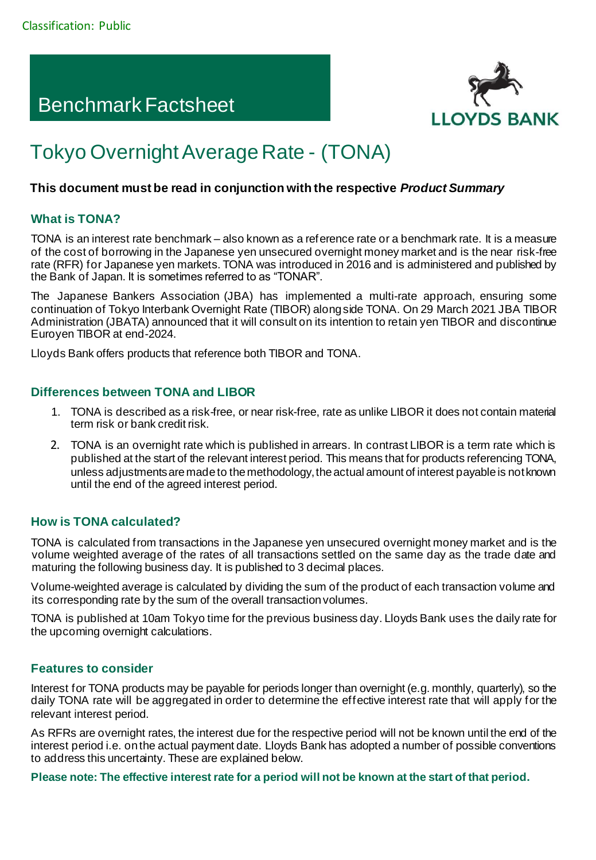## Benchmark Factsheet



# Tokyo Overnight Average Rate - (TONA)

#### **This document must be read in conjunction with the respective** *Product Summary*

## **What is TONA?**

TONA is an interest rate benchmark – also known as a reference rate or a benchmark rate. It is a measure of the cost of borrowing in the Japanese yen unsecured overnight money market and is the near risk-free rate (RFR) for Japanese yen markets. TONA was introduced in 2016 and is administered and published by the Bank of Japan. It is sometimes referred to as "TONAR".

The Japanese Bankers Association (JBA) has implemented a multi-rate approach, ensuring some continuation of Tokyo Interbank Overnight Rate (TIBOR) alongside TONA. On 29 March 2021 JBA TIBOR Administration (JBATA) announced that it will consult on its intention to retain yen TIBOR and discontinue Euroyen TIBOR at end-2024.

Lloyds Bank offers products that reference both TIBOR and TONA.

#### **Differences between TONA and LIBOR**

- 1. TONA is described as a risk-free, or near risk-free, rate as unlike LIBOR it does not contain material term risk or bank credit risk.
- 2. TONA is an overnight rate which is published in arrears. In contrast LIBOR is a term rate which is published at the start of the relevant interest period. This means that for products referencing TONA, unless adjustments are made to the methodology, the actual amount of interest payable is not known until the end of the agreed interest period.

## **How is TONA calculated?**

TONA is calculated from transactions in the Japanese yen unsecured overnight money market and is the volume weighted average of the rates of all transactions settled on the same day as the trade date and maturing the following business day. It is published to 3 decimal places.

Volume-weighted average is calculated by dividing the sum of the product of each transaction volume and its corresponding rate by the sum of the overall transaction volumes.

TONA is published at 10am Tokyo time for the previous business day. Lloyds Bank uses the daily rate for the upcoming overnight calculations.

## **Features to consider**

Interest for TONA products may be payable for periods longer than overnight (e.g. monthly, quarterly), so the daily TONA rate will be aggregated in order to determine the effective interest rate that will apply for the relevant interest period.

As RFRs are overnight rates, the interest due for the respective period will not be known until the end of the interest period i.e. on the actual payment date. Lloyds Bank has adopted a number of possible conventions to address this uncertainty. These are explained below.

**Please note: The effective interest rate for a period will not be known at the start of that period.**